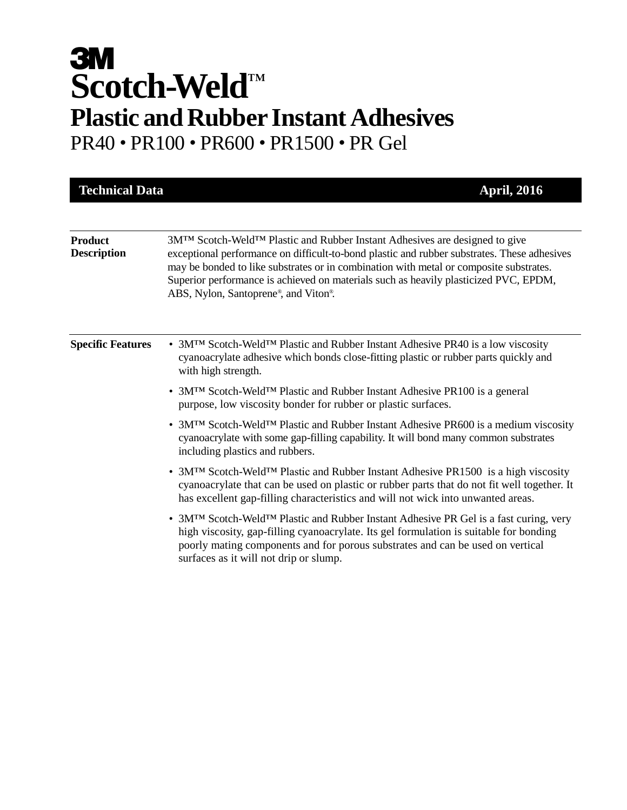# **3M Scotch-Weld** ™ **Plastic and Rubber Instant Adhesives** PR40 • PR100 • PR600 • PR1500 • PR Gel

| <b>Technical Data</b>                | <b>April, 2016</b>                                                                                                                                                                                                                                                                                                                                                                                  |
|--------------------------------------|-----------------------------------------------------------------------------------------------------------------------------------------------------------------------------------------------------------------------------------------------------------------------------------------------------------------------------------------------------------------------------------------------------|
|                                      |                                                                                                                                                                                                                                                                                                                                                                                                     |
| <b>Product</b><br><b>Description</b> | 3M™ Scotch-Weld™ Plastic and Rubber Instant Adhesives are designed to give<br>exceptional performance on difficult-to-bond plastic and rubber substrates. These adhesives<br>may be bonded to like substrates or in combination with metal or composite substrates.<br>Superior performance is achieved on materials such as heavily plasticized PVC, EPDM,<br>ABS, Nylon, Santoprene®, and Viton®. |
| <b>Specific Features</b>             | • 3M <sup>TM</sup> Scotch-Weld <sup>TM</sup> Plastic and Rubber Instant Adhesive PR40 is a low viscosity<br>cyanoacrylate adhesive which bonds close-fitting plastic or rubber parts quickly and<br>with high strength.                                                                                                                                                                             |
|                                      | • 3MTM Scotch-WeldTM Plastic and Rubber Instant Adhesive PR100 is a general<br>purpose, low viscosity bonder for rubber or plastic surfaces.                                                                                                                                                                                                                                                        |
|                                      | • 3M <sup>TM</sup> Scotch-Weld <sup>TM</sup> Plastic and Rubber Instant Adhesive PR600 is a medium viscosity<br>cyanoacrylate with some gap-filling capability. It will bond many common substrates<br>including plastics and rubbers.                                                                                                                                                              |
|                                      | • 3M <sup>TM</sup> Scotch-Weld <sup>TM</sup> Plastic and Rubber Instant Adhesive PR1500 is a high viscosity<br>cyanoacrylate that can be used on plastic or rubber parts that do not fit well together. It<br>has excellent gap-filling characteristics and will not wick into unwanted areas.                                                                                                      |
|                                      | • 3M <sup>TM</sup> Scotch-Weld <sup>TM</sup> Plastic and Rubber Instant Adhesive PR Gel is a fast curing, very<br>high viscosity, gap-filling cyanoacrylate. Its gel formulation is suitable for bonding<br>poorly mating components and for porous substrates and can be used on vertical<br>surfaces as it will not drip or slump.                                                                |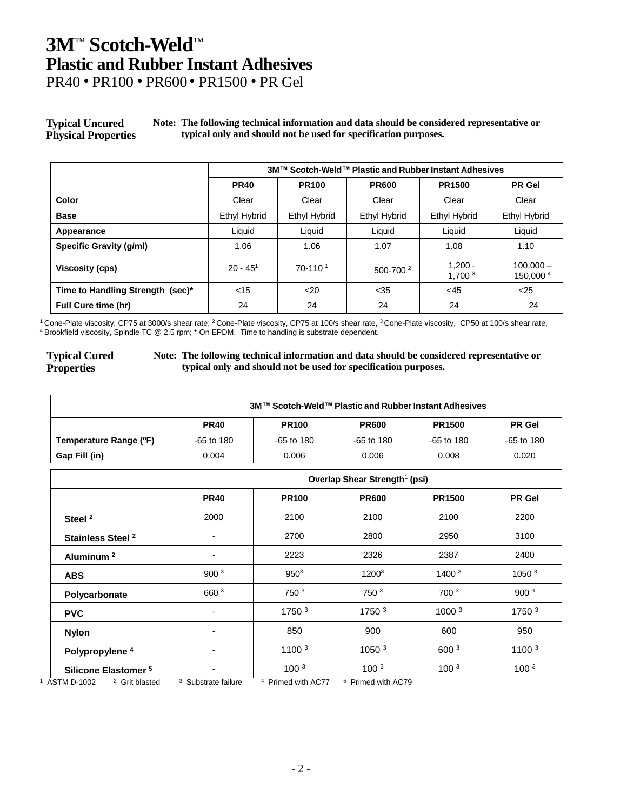## **3M**™ **Scotch-Weld** ™ **Plastic and Rubber Instant Adhesives**

PR40 • PR100 • PR600 • PR1500 • PR Gel

#### **Typical Uncured Physical Properties Note: The following technical information and data should be considered representative or typical only and should not be used for specification purposes.**

|                                  | 3M™ Scotch-Weld™ Plastic and Rubber Instant Adhesives |                       |                     |                                 |                          |
|----------------------------------|-------------------------------------------------------|-----------------------|---------------------|---------------------------------|--------------------------|
|                                  | <b>PR40</b>                                           | <b>PR100</b>          | <b>PR600</b>        | <b>PR1500</b>                   | <b>PR</b> Gel            |
| Color                            | Clear                                                 | Clear                 | Clear               | Clear                           | Clear                    |
| <b>Base</b>                      | <b>Ethyl Hybrid</b>                                   | Ethyl Hybrid          | <b>Ethyl Hybrid</b> | <b>Ethyl Hybrid</b>             | Ethyl Hybrid             |
| Appearance                       | Liquid                                                | Liquid                | Liquid              | Liquid                          | Liquid                   |
| <b>Specific Gravity (g/ml)</b>   | 1.06                                                  | 1.06                  | 1.07                | 1.08                            | 1.10                     |
| Viscosity (cps)                  | $20 - 451$                                            | $70-110$ <sup>1</sup> | $500 - 700^2$       | $1.200 -$<br>1,700 <sup>3</sup> | $100.000 -$<br>150,000 4 |
| Time to Handling Strength (sec)* | $<$ 15                                                | $20$                  | $35$                | $<$ 45                          | $25$                     |
| <b>Full Cure time (hr)</b>       | 24                                                    | 24                    | 24                  | 24                              | 24                       |

 $^1$ Cone-Plate viscosity, CP75 at 3000/s shear rate;  $^2$ Cone-Plate viscosity, CP75 at 100/s shear rate,  $^3$ Cone-Plate viscosity, CP50 at 100/s shear rate, <sup>4</sup> Brookfield viscosity, Spindle TC @ 2.5 rpm; \* On EPDM. Time to handling is substrate dependent.

#### **Typical Cured Properties**

**Note: The following technical information and data should be considered representative or typical only and should not be used for specification purposes.**

|                                 | 3M™ Scotch-Weld™ Plastic and Rubber Instant Adhesives |                   |                   |                   |                   |
|---------------------------------|-------------------------------------------------------|-------------------|-------------------|-------------------|-------------------|
|                                 | <b>PR40</b>                                           | <b>PR100</b>      | <b>PR600</b>      | <b>PR1500</b>     | <b>PR</b> Gel     |
| Temperature Range (°F)          | $-65$ to 180                                          | $-65$ to 180      | $-65$ to 180      | $-65$ to 180      | $-65$ to 180      |
| Gap Fill (in)                   | 0.004                                                 | 0.006             | 0.006             | 0.008             | 0.020             |
|                                 | Overlap Shear Strength <sup>1</sup> (psi)             |                   |                   |                   |                   |
|                                 | <b>PR40</b>                                           | <b>PR100</b>      | <b>PR600</b>      | <b>PR1500</b>     | <b>PR</b> Gel     |
| Steel <sup>2</sup>              | 2000                                                  | 2100              | 2100              | 2100              | 2200              |
| Stainless Steel <sup>2</sup>    | ۰                                                     | 2700              | 2800              | 2950              | 3100              |
| Aluminum <sup>2</sup>           | ٠                                                     | 2223              | 2326              | 2387              | 2400              |
| <b>ABS</b>                      | 900 <sup>3</sup>                                      | $950^3$           | $1200^3$          | 1400 <sup>3</sup> | 1050 <sup>3</sup> |
| Polycarbonate                   | 660 <sup>3</sup>                                      | 750 <sup>3</sup>  | 750 <sup>3</sup>  | 700 <sup>3</sup>  | 900 <sup>3</sup>  |
| <b>PVC</b>                      | $\overline{\phantom{a}}$                              | 1750 <sup>3</sup> | 1750 <sup>3</sup> | 1000 <sup>3</sup> | 1750 <sup>3</sup> |
| <b>Nylon</b>                    | $\overline{\phantom{0}}$                              | 850               | 900               | 600               | 950               |
| Polypropylene <sup>4</sup>      | $\overline{\phantom{a}}$                              | 1100 <sup>3</sup> | 1050 3            | 600 3             | 1100 3            |
| Silicone Elastomer <sup>5</sup> | ۰                                                     | 100 <sup>3</sup>  | 100 <sup>3</sup>  | 100 <sup>3</sup>  | 100 <sup>3</sup>  |

 $1$  ASTM D-1002  $2$  Grit blasted <sup>3</sup> Substrate failure 4 <sup>4</sup> Primed with AC77

5 Primed with AC79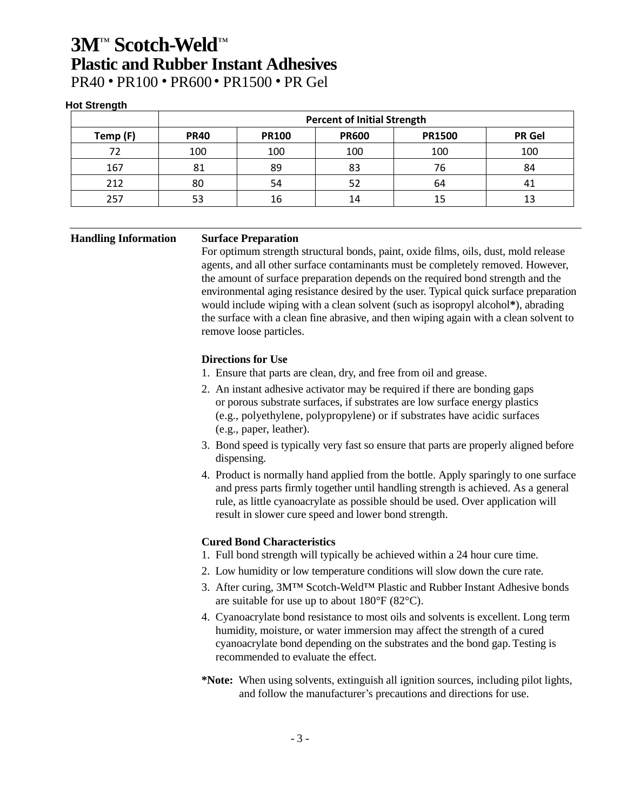### **3M**™ **Scotch-Weld** ™ **Plastic and Rubber Instant Adhesives** PR40 • PR100 • PR600 • PR1500 • PR Gel

#### **Hot Strength**

|          | <b>Percent of Initial Strength</b> |              |              |               |               |
|----------|------------------------------------|--------------|--------------|---------------|---------------|
| Temp (F) | <b>PR40</b>                        | <b>PR100</b> | <b>PR600</b> | <b>PR1500</b> | <b>PR</b> Gel |
| 72       | 100                                | 100          | 100          | 100           | 100           |
| 167      | 81                                 | 89           | 83           | 76            | 84            |
| 212      | 80                                 | 54           | 52           | 64            | 41            |
| 257      | 53                                 | 16           | 14           |               |               |

#### **Handling Information Surface Preparation**

For optimum strength structural bonds, paint, oxide films, oils, dust, mold release agents, and all other surface contaminants must be completely removed. However, the amount of surface preparation depends on the required bond strength and the environmental aging resistance desired by the user. Typical quick surface preparation would include wiping with a clean solvent (such as isopropyl alcohol**\***), abrading the surface with a clean fine abrasive, and then wiping again with a clean solvent to remove loose particles.

#### **Directions for Use**

- 1. Ensure that parts are clean, dry, and free from oil and grease.
- 2. An instant adhesive activator may be required if there are bonding gaps or porous substrate surfaces, if substrates are low surface energy plastics (e.g., polyethylene, polypropylene) or if substrates have acidic surfaces (e.g., paper, leather).
- 3. Bond speed is typically very fast so ensure that parts are properly aligned before dispensing.
- 4. Product is normally hand applied from the bottle. Apply sparingly to one surface and press parts firmly together until handling strength is achieved. As a general rule, as little cyanoacrylate as possible should be used. Over application will result in slower cure speed and lower bond strength.

### **Cured Bond Characteristics**

- 1. Full bond strength will typically be achieved within a 24 hour cure time.
- 2. Low humidity or low temperature conditions will slow down the cure rate.
- 3. After curing, 3M™ Scotch-Weld™ Plastic and Rubber Instant Adhesive bonds are suitable for use up to about 180°F (82°C).
- 4. Cyanoacrylate bond resistance to most oils and solvents is excellent. Long term humidity, moisture, or water immersion may affect the strength of a cured cyanoacrylate bond depending on the substrates and the bond gap. Testing is recommended to evaluate the effect.
- **\*Note:** When using solvents, extinguish all ignition sources, including pilot lights, and follow the manufacturer's precautions and directions for use.